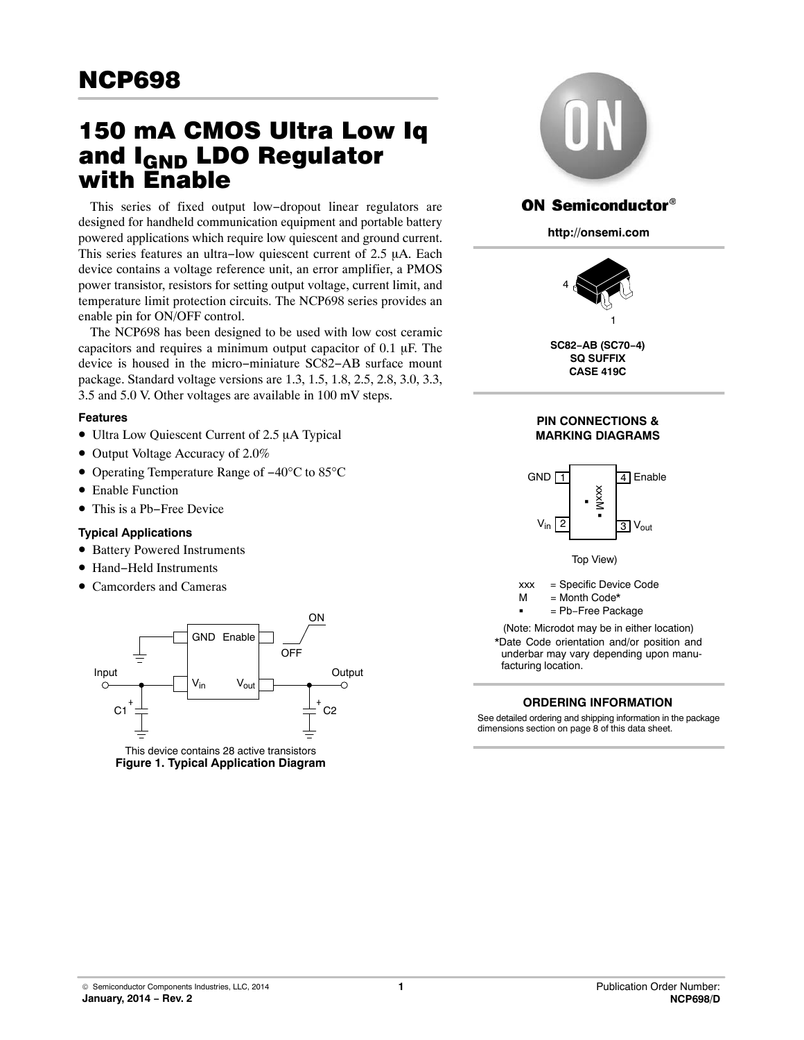# <span id="page-0-0"></span>150 mA CMOS Ultra Low Iq and I<sub>GND</sub> LDO Regulator with Enable

This series of fixed output low−dropout linear regulators are designed for handheld communication equipment and portable battery powered applications which require low quiescent and ground current. This series features an ultra-low quiescent current of  $2.5 \mu A$ . Each device contains a voltage reference unit, an error amplifier, a PMOS power transistor, resistors for setting output voltage, current limit, and temperature limit protection circuits. The NCP698 series provides an enable pin for ON/OFF control.

The NCP698 has been designed to be used with low cost ceramic capacitors and requires a minimum output capacitor of  $0.1 \mu F$ . The device is housed in the micro−miniature SC82−AB surface mount package. Standard voltage versions are 1.3, 1.5, 1.8, 2.5, 2.8, 3.0, 3.3, 3.5 and 5.0 V. Other voltages are available in 100 mV steps.

#### **Features**

- Ultra Low Quiescent Current of 2.5 µA Typical
- Output Voltage Accuracy of 2.0%
- Operating Temperature Range of −40°C to 85°C
- Enable Function
- This is a Pb−Free Device

## **Typical Applications**

- Battery Powered Instruments
- Hand−Held Instruments
- Camcorders and Cameras



**Figure 1. Typical Application Diagram** This device contains 28 active transistors



# **ON Semiconductor®**

**http://onsemi.com**



**SC82−AB (SC70−4) SQ SUFFIX CASE 419C**

### **PIN CONNECTIONS & MARKING DIAGRAMS**



Top View)



(Note: Microdot may be in either location) \*Date Code orientation and/or position and underbar may vary depending upon manufacturing location.

## **ORDERING INFORMATION**

See detailed ordering and shipping information in the package dimensions section on page [8](#page-7-0) of this data sheet.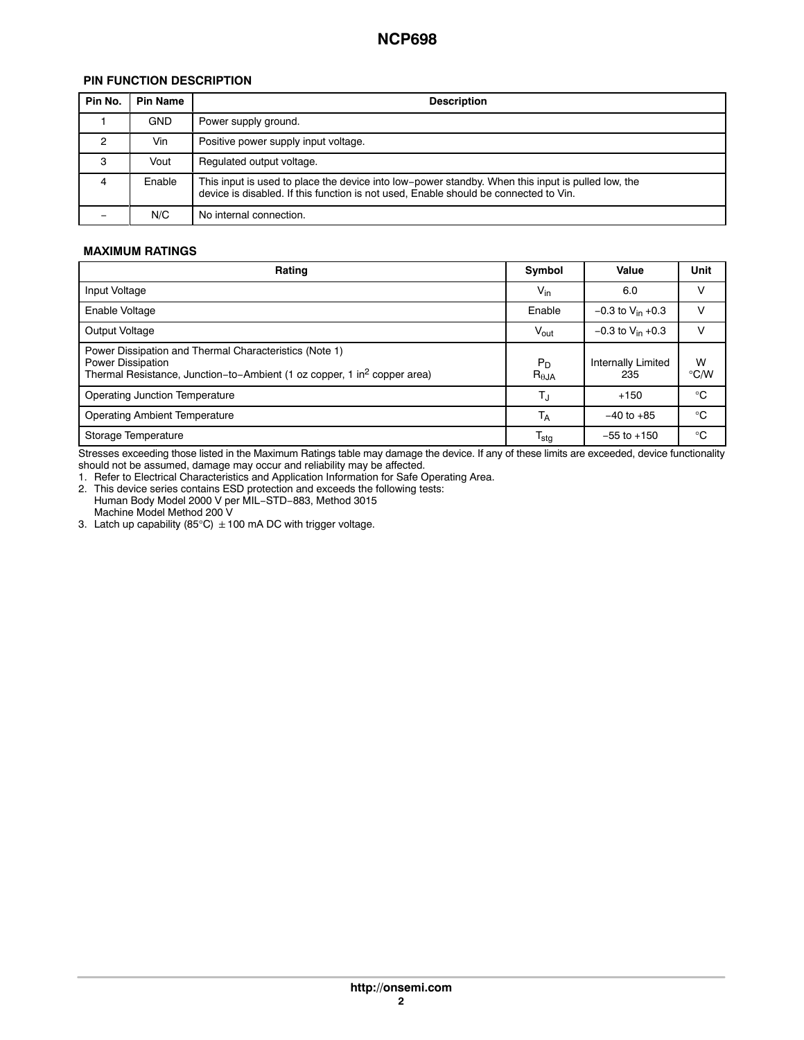# PIN FUNCTION DESCRIPTION

| <b>PIN FUNCTION DESCRIPTION</b> |                                       |                                                                                                                                                                                           |
|---------------------------------|---------------------------------------|-------------------------------------------------------------------------------------------------------------------------------------------------------------------------------------------|
| Pin No.                         | <b>Pin Name</b><br><b>Description</b> |                                                                                                                                                                                           |
|                                 | <b>GND</b>                            | Power supply ground.                                                                                                                                                                      |
|                                 | Vin                                   | Positive power supply input voltage.                                                                                                                                                      |
|                                 | Vout                                  | Regulated output voltage.                                                                                                                                                                 |
|                                 | Enable                                | This input is used to place the device into low-power standby. When this input is pulled low, the<br>device is disabled. If this function is not used, Enable should be connected to Vin. |
|                                 | N/C                                   | No internal connection.                                                                                                                                                                   |

### **MAXIMUM RATINGS**

| Rating                                                                                                                                                              | Symbol                   | Value                            | Unit               |
|---------------------------------------------------------------------------------------------------------------------------------------------------------------------|--------------------------|----------------------------------|--------------------|
| Input Voltage                                                                                                                                                       | $V_{\text{in}}$          | 6.0                              | $\vee$             |
| Enable Voltage                                                                                                                                                      | Enable                   | $-0.3$ to $V_{in}$ +0.3          | v                  |
| Output Voltage                                                                                                                                                      | V <sub>out</sub>         | $-0.3$ to $V_{in}$ +0.3          | v                  |
| Power Dissipation and Thermal Characteristics (Note 1)<br>Power Dissipation<br>Thermal Resistance, Junction-to-Ambient (1 oz copper, 1 in <sup>2</sup> copper area) | $P_D$<br>$R_{\theta,JA}$ | <b>Internally Limited</b><br>235 | W<br>$\degree$ C/W |
| <b>Operating Junction Temperature</b>                                                                                                                               | Т.,                      | $+150$                           | $^{\circ}C$        |
| <b>Operating Ambient Temperature</b>                                                                                                                                | <b>T<sub>A</sub></b>     | $-40$ to $+85$                   | $^{\circ}C$        |
| Storage Temperature                                                                                                                                                 | $T_{\text{stg}}$         | $-55$ to $+150$                  | $^{\circ}C$        |

Stresses exceeding those listed in the Maximum Ratings table may damage the device. If any of these limits are exceeded, device functionality should not be assumed, damage may occur and reliability may be affected.

1. Refer to Electrical Characteristics and Application Information for Safe Operating Area.

2. This device series contains ESD protection and exceeds the following tests: Human Body Model 2000 V per MIL−STD−883, Method 3015 Machine Model Method 200 V

3. Latch up capability (85°C)  $\pm$  100 mA DC with trigger voltage.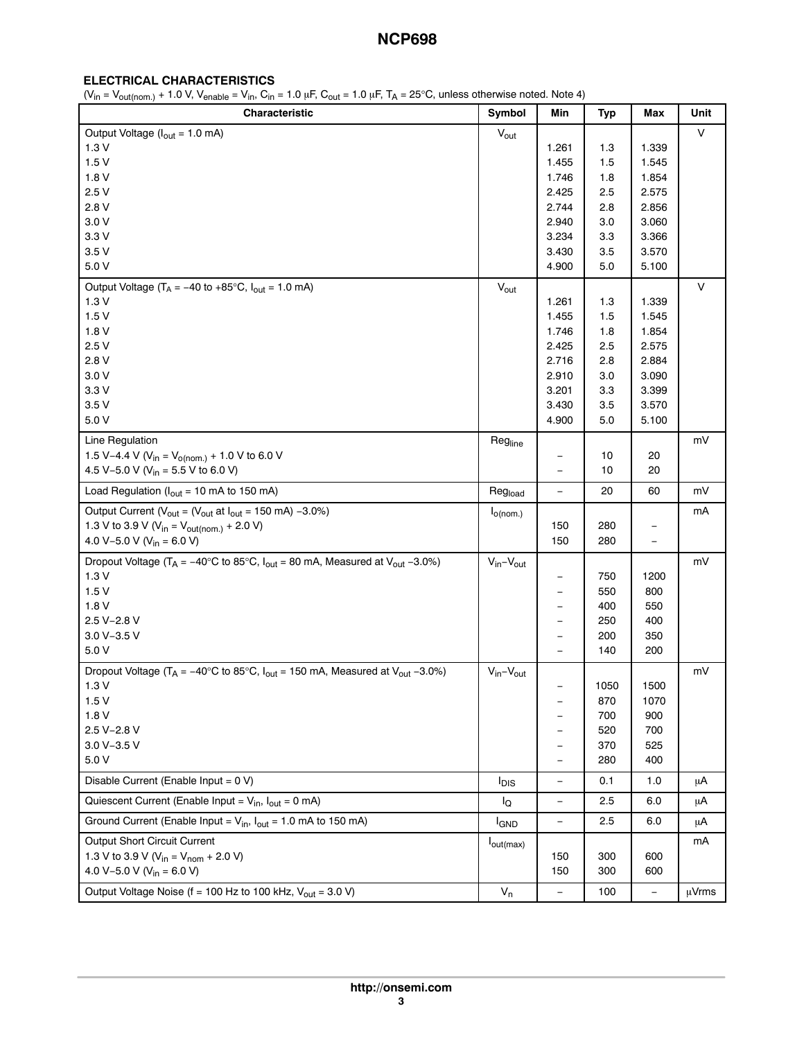# **ELECTRICAL CHARACTERISTICS**

 $(V_{in} = V_{out(nom.)} + 1.0 V, V_{enable} = V_{in}$ ,  $C_{in} = 1.0 \mu F, C_{out} = 1.0 \mu F, T_A = 25^{\circ}C$ , unless otherwise noted. Note [4\)](#page-3-0)

| Characteristic                                                                                            | Symbol                      | Min                      | Typ  | Max                      | Unit   |
|-----------------------------------------------------------------------------------------------------------|-----------------------------|--------------------------|------|--------------------------|--------|
| Output Voltage (I <sub>out</sub> = 1.0 mA)                                                                | $V_{\text{out}}$            |                          |      |                          | $\vee$ |
| 1.3V                                                                                                      |                             | 1.261                    | 1.3  | 1.339                    |        |
| 1.5V                                                                                                      |                             | 1.455                    | 1.5  | 1.545                    |        |
| 1.8V                                                                                                      |                             | 1.746                    | 1.8  | 1.854                    |        |
| 2.5V                                                                                                      |                             | 2.425                    | 2.5  | 2.575                    |        |
| 2.8V                                                                                                      |                             | 2.744                    | 2.8  | 2.856                    |        |
| 3.0V                                                                                                      |                             | 2.940                    | 3.0  | 3.060                    |        |
| 3.3V                                                                                                      |                             | 3.234                    | 3.3  | 3.366                    |        |
| 3.5V                                                                                                      |                             | 3.430                    | 3.5  | 3.570                    |        |
| 5.0 V                                                                                                     |                             | 4.900                    | 5.0  | 5.100                    |        |
| Output Voltage ( $T_A = -40$ to +85°C, $I_{out} = 1.0$ mA)                                                | $\mathsf{V}_{\mathsf{out}}$ |                          |      |                          | $\vee$ |
| 1.3V                                                                                                      |                             | 1.261                    | 1.3  | 1.339                    |        |
| 1.5V                                                                                                      |                             | 1.455                    | 1.5  | 1.545                    |        |
| 1.8V                                                                                                      |                             | 1.746                    | 1.8  | 1.854                    |        |
| 2.5V                                                                                                      |                             | 2.425                    | 2.5  | 2.575                    |        |
| 2.8V                                                                                                      |                             | 2.716                    | 2.8  | 2.884                    |        |
| 3.0V                                                                                                      |                             | 2.910                    | 3.0  | 3.090                    |        |
| 3.3V                                                                                                      |                             | 3.201                    | 3.3  | 3.399                    |        |
| 3.5V                                                                                                      |                             | 3.430                    | 3.5  | 3.570                    |        |
| 5.0 V                                                                                                     |                             | 4.900                    | 5.0  | 5.100                    |        |
| Line Regulation                                                                                           | Regline                     |                          |      |                          | mV     |
| 1.5 V-4.4 V (V <sub>in</sub> = V <sub>o(nom.)</sub> + 1.0 V to 6.0 V                                      |                             |                          | 10   | 20                       |        |
| 4.5 V-5.0 V ( $V_{in}$ = 5.5 V to 6.0 V)                                                                  |                             | $\qquad \qquad -$        | 10   | 20                       |        |
| Load Regulation ( $I_{out}$ = 10 mA to 150 mA)                                                            | Regload                     | $\qquad \qquad -$        | 20   | 60                       | mV     |
| Output Current ( $V_{\text{out}} = (V_{\text{out}} \text{ at } I_{\text{out}} = 150 \text{ mA}) - 3.0\%)$ | $I_{o(nom.)}$               |                          |      |                          | mA     |
| 1.3 V to 3.9 V ( $V_{in} = V_{out(nom.)} + 2.0 V$ )                                                       |                             | 150                      | 280  | $\overline{\phantom{0}}$ |        |
| 4.0 V-5.0 V ( $V_{in}$ = 6.0 V)                                                                           |                             | 150                      | 280  | $\qquad \qquad -$        |        |
| Dropout Voltage ( $T_A = -40^{\circ}C$ to 85°C, $I_{out} = 80$ mA, Measured at $V_{out} -3.0\%)$          | $V_{in} - V_{out}$          |                          |      |                          | mV     |
| 1.3V                                                                                                      |                             | -                        | 750  | 1200                     |        |
| 1.5V                                                                                                      |                             | $\qquad \qquad -$        | 550  | 800                      |        |
| 1.8V                                                                                                      |                             | -                        | 400  | 550                      |        |
| 2.5 V-2.8 V                                                                                               |                             | -                        | 250  | 400                      |        |
| 3.0 V-3.5 V                                                                                               |                             | —                        | 200  | 350                      |        |
| 5.0 V                                                                                                     |                             |                          | 140  | 200                      |        |
| Dropout Voltage ( $T_A = -40^{\circ}$ C to 85°C, $I_{out} = 150$ mA, Measured at $V_{out} -3.0\%)$        | $V_{in} - V_{out}$          |                          |      |                          | mV     |
| 1.3V                                                                                                      |                             |                          | 1050 | 1500                     |        |
| 1.5V                                                                                                      |                             | $\qquad \qquad -$        | 870  | 1070                     |        |
| 1.8V                                                                                                      |                             |                          | 700  | 900                      |        |
| 2.5 V-2.8 V                                                                                               |                             | -                        | 520  | 700                      |        |
| 3.0 V-3.5 V                                                                                               |                             | -                        | 370  | 525                      |        |
| 5.0 V                                                                                                     |                             | $\qquad \qquad -$        | 280  | 400                      |        |
| Disable Current (Enable Input = 0 V)                                                                      | <b>I</b> <sub>DIS</sub>     | $\qquad \qquad -$        | 0.1  | 1.0                      | μA     |
| Quiescent Current (Enable Input = $V_{in}$ , $I_{out}$ = 0 mA)                                            | lq                          | $\overline{\phantom{0}}$ | 2.5  | 6.0                      | μA     |
| Ground Current (Enable Input = $V_{in}$ , $I_{out}$ = 1.0 mA to 150 mA)                                   | <b>I</b> GND                | $\overline{\phantom{0}}$ | 2.5  | 6.0                      | μA     |
| Output Short Circuit Current                                                                              | $I_{\text{out(max)}}$       |                          |      |                          | mA     |
| 1.3 V to 3.9 V ( $V_{in} = V_{nom} + 2.0 V$ )                                                             |                             | 150                      | 300  | 600                      |        |
| 4.0 V-5.0 V ( $V_{in}$ = 6.0 V)                                                                           |                             | 150                      | 300  | 600                      |        |
| Output Voltage Noise ( $f = 100$ Hz to 100 kHz, $V_{out} = 3.0$ V)                                        | $\mathsf{V}_\mathsf{n}$     | $\overline{\phantom{a}}$ | 100  | $\qquad \qquad -$        | μVrms  |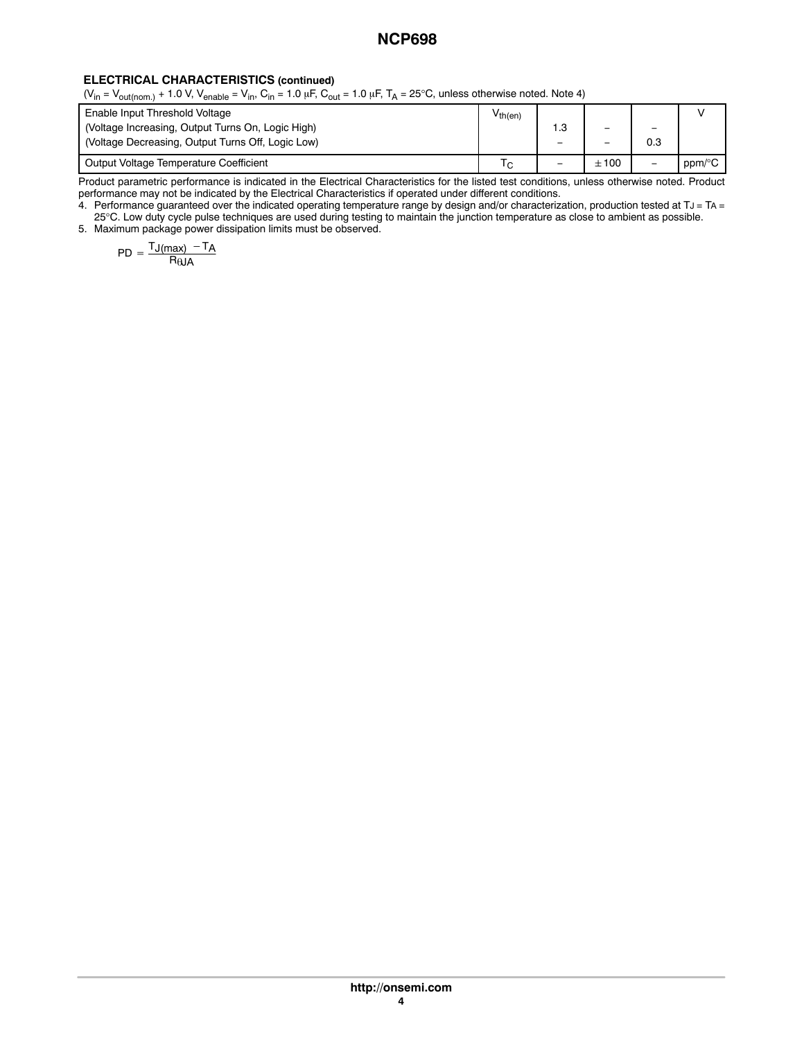# <span id="page-3-0"></span>**ELECTRICAL CHARACTERISTICS (continued)**

 $(V_{in} = V_{out(nom.)} + 1.0 V, V_{enable} = V_{in}$ ,  $C_{in} = 1.0 \mu F, C_{out} = 1.0 \mu F, T_A = 25^{\circ}C$ , unless otherwise noted. Note 4)

| Enable Input Threshold Voltage                    | $V_{th(en)}$ |     |      |                          |        |
|---------------------------------------------------|--------------|-----|------|--------------------------|--------|
| (Voltage Increasing, Output Turns On, Logic High) |              | I.3 |      | $\overline{\phantom{0}}$ |        |
| (Voltage Decreasing, Output Turns Off, Logic Low) |              | -   |      | 0.3                      |        |
| Output Voltage Temperature Coefficient            | I C          |     | ±100 | -                        | ppm/°C |

Product parametric performance is indicated in the Electrical Characteristics for the listed test conditions, unless otherwise noted. Product performance may not be indicated by the Electrical Characteristics if operated under different conditions.

4. Performance guaranteed over the indicated operating temperature range by design and/or characterization, production tested at TJ = TA = 25°C. Low duty cycle pulse techniques are used during testing to maintain the junction temperature as close to ambient as possible.

5. Maximum package power dissipation limits must be observed.

$$
PD = \frac{TJ(max) - T_A}{RQJA}
$$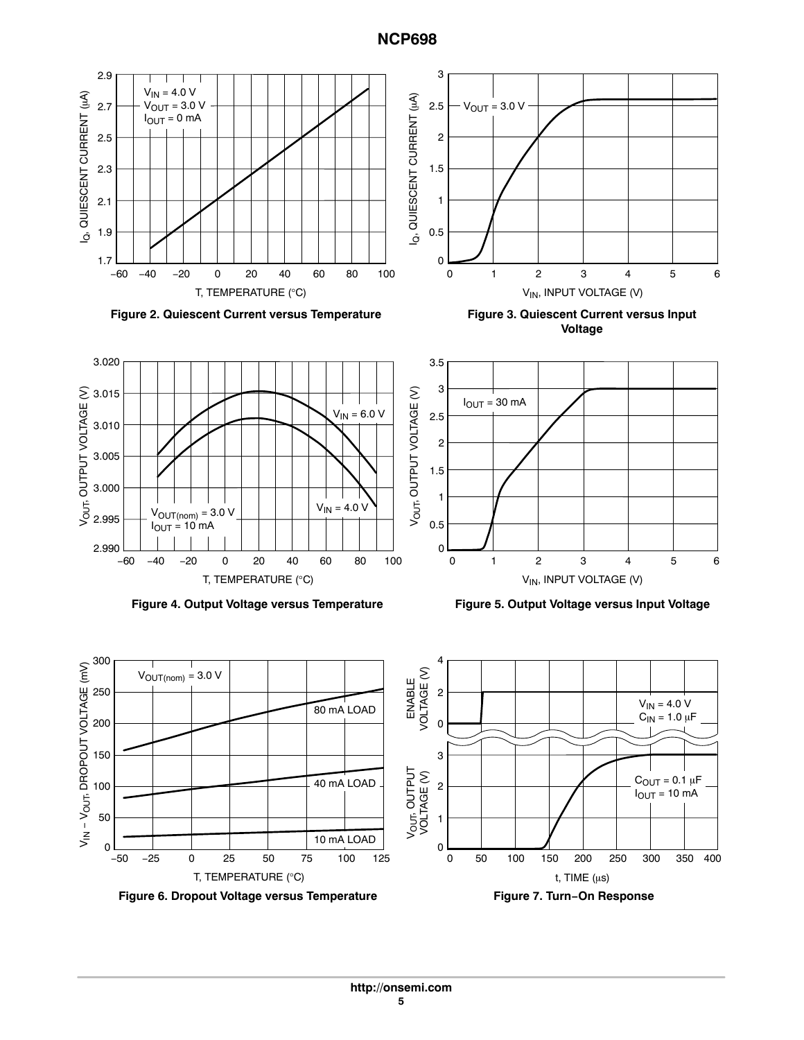

**Figure 2. Quiescent Current versus Temperature**





**Figure 4. Output Voltage versus Temperature Figure 5. Output Voltage versus Input Voltage**



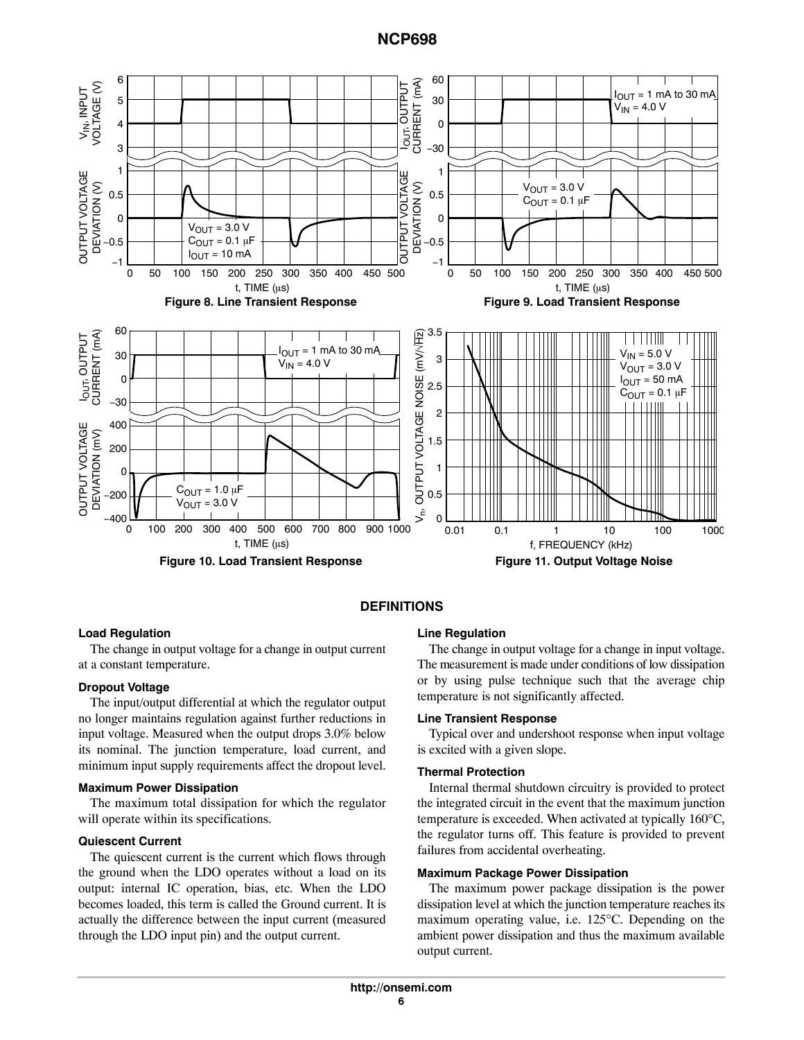

## **DEFINITIONS**

#### **Load Regulation**

The change in output voltage for a change in output current at a constant temperature.

# **Dropout Voltage**

The input/output differential at which the regulator output no longer maintains regulation against further reductions in input voltage. Measured when the output drops 3.0% below its nominal. The junction temperature, load current, and minimum input supply requirements affect the dropout level.

#### **Maximum Power Dissipation**

The maximum total dissipation for which the regulator will operate within its specifications.

#### **Quiescent Current**

The quiescent current is the current which flows through the ground when the LDO operates without a load on its output: internal IC operation, bias, etc. When the LDO becomes loaded, this term is called the Ground current. It is actually the difference between the input current (measured through the LDO input pin) and the output current.

#### **Line Regulation**

The change in output voltage for a change in input voltage. The measurement is made under conditions of low dissipation or by using pulse technique such that the average chip temperature is not significantly affected.

#### **Line Transient Response**

Typical over and undershoot response when input voltage is excited with a given slope.

#### **Thermal Protection**

Internal thermal shutdown circuitry is provided to protect the integrated circuit in the event that the maximum junction temperature is exceeded. When activated at typically 160°C, the regulator turns off. This feature is provided to prevent failures from accidental overheating.

#### **Maximum Package Power Dissipation**

The maximum power package dissipation is the power dissipation level at which the junction temperature reaches its maximum operating value, i.e. 125°C. Depending on the ambient power dissipation and thus the maximum available output current.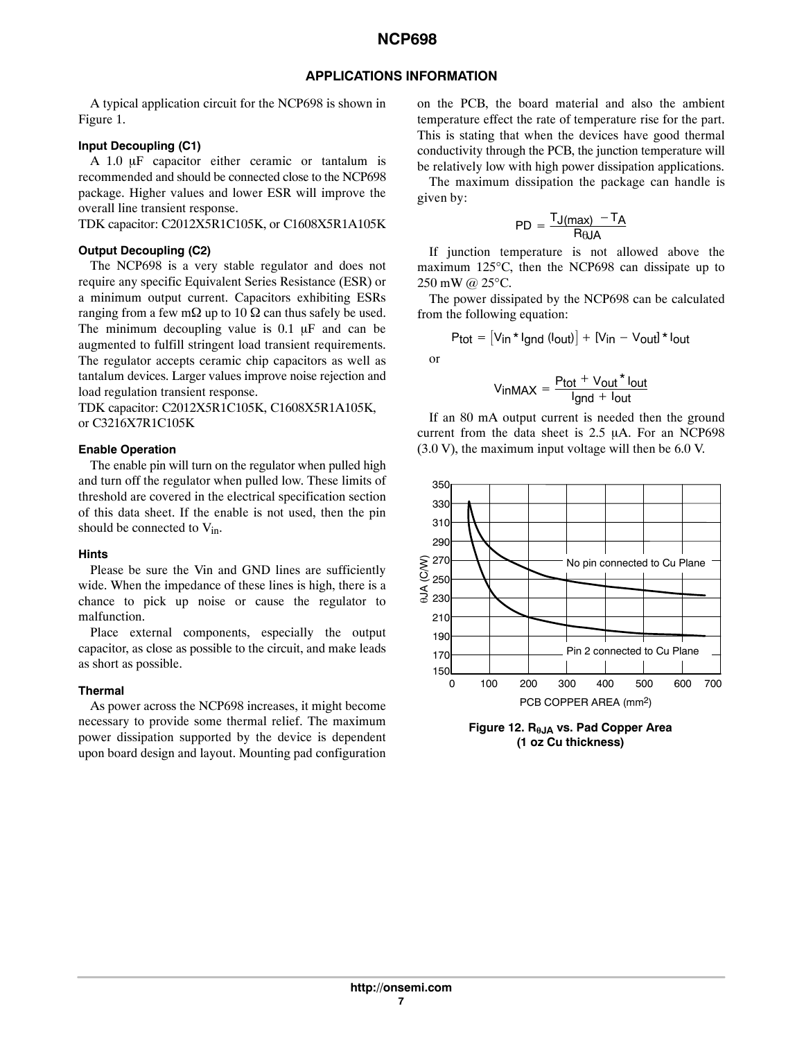# **APPLICATIONS INFORMATION**

A typical application circuit for the NCP698 is shown in Figure [1](#page-0-0).

#### **Input Decoupling (C1)**

A 1.0  $\mu$ F capacitor either ceramic or tantalum is recommended and should be connected close to the NCP698 package. Higher values and lower ESR will improve the overall line transient response.

TDK capacitor: C2012X5R1C105K, or C1608X5R1A105K

#### **Output Decoupling (C2)**

The NCP698 is a very stable regulator and does not require any specific Equivalent Series Resistance (ESR) or a minimum output current. Capacitors exhibiting ESRs ranging from a few m $\Omega$  up to 10  $\Omega$  can thus safely be used. The minimum decoupling value is  $0.1 \mu$ F and can be augmented to fulfill stringent load transient requirements. The regulator accepts ceramic chip capacitors as well as tantalum devices. Larger values improve noise rejection and load regulation transient response.

TDK capacitor: C2012X5R1C105K, C1608X5R1A105K, or C3216X7R1C105K

#### **Enable Operation**

The enable pin will turn on the regulator when pulled high and turn off the regulator when pulled low. These limits of threshold are covered in the electrical specification section of this data sheet. If the enable is not used, then the pin should be connected to V<sub>in</sub>.

#### **Hints**

Please be sure the Vin and GND lines are sufficiently wide. When the impedance of these lines is high, there is a chance to pick up noise or cause the regulator to malfunction.

Place external components, especially the output capacitor, as close as possible to the circuit, and make leads as short as possible.

#### **Thermal**

As power across the NCP698 increases, it might become necessary to provide some thermal relief. The maximum power dissipation supported by the device is dependent upon board design and layout. Mounting pad configuration

on the PCB, the board material and also the ambient temperature effect the rate of temperature rise for the part. This is stating that when the devices have good thermal conductivity through the PCB, the junction temperature will be relatively low with high power dissipation applications.

The maximum dissipation the package can handle is given by:

$$
PD = \frac{TJ(max) - T_A}{R\theta JA}
$$

If junction temperature is not allowed above the maximum 125°C, then the NCP698 can dissipate up to 250 mW @ 25°C.

The power dissipated by the NCP698 can be calculated from the following equation:

$$
P_{tot} = [V_{in} * I_{gnd} (I_{out})] + [V_{in} - V_{out}] * I_{out}
$$

or

$$
V_{inMAX} = \frac{P_{tot} + V_{out} * I_{out}}{I_{gnd} + I_{out}}
$$

If an 80 mA output current is needed then the ground current from the data sheet is  $2.5 \mu A$ . For an NCP698 (3.0 V), the maximum input voltage will then be 6.0 V.



**Figure 12. R-JA vs. Pad Copper Area (1 oz Cu thickness)**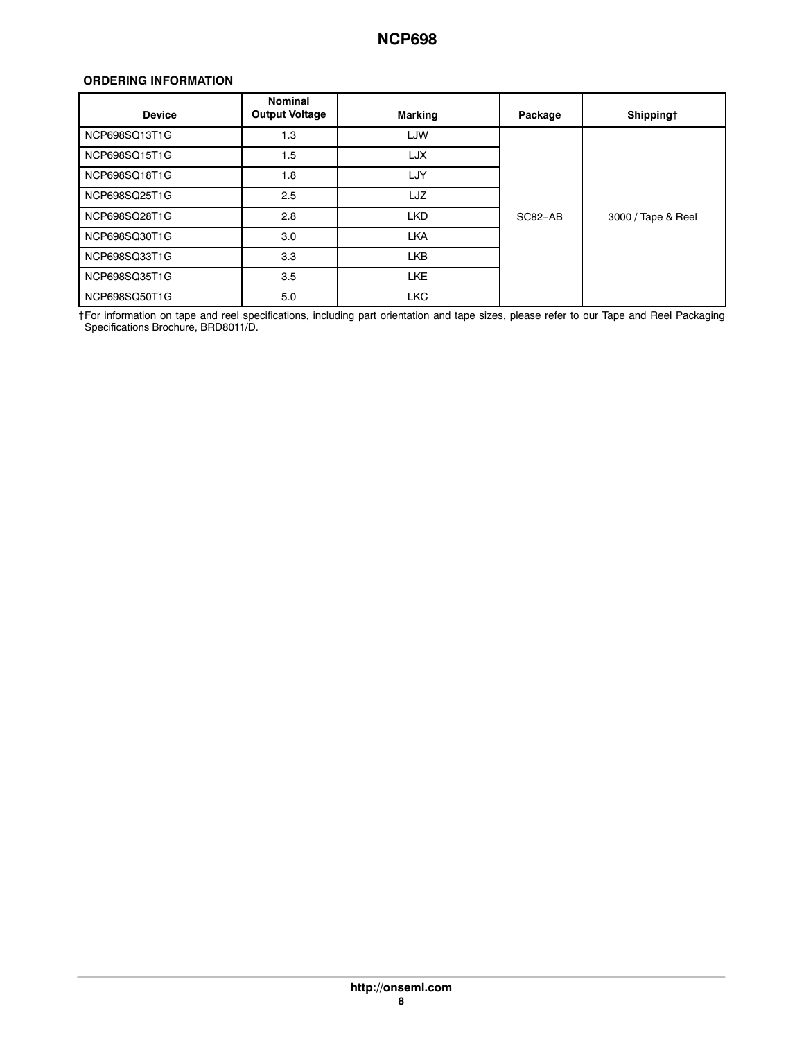# <span id="page-7-0"></span>**ORDERING INFORMATION**

| <b>Device</b> | <b>Nominal</b><br><b>Output Voltage</b> | <b>Marking</b> | Package | Shipping†          |
|---------------|-----------------------------------------|----------------|---------|--------------------|
| NCP698SQ13T1G | 1.3                                     | LJW            |         |                    |
| NCP698SQ15T1G | 1.5                                     | LJX.           |         |                    |
| NCP698SQ18T1G | 1.8                                     | LJY            |         |                    |
| NCP698SQ25T1G | 2.5                                     | LJZ.           |         |                    |
| NCP698SQ28T1G | 2.8                                     | <b>LKD</b>     | SC82-AB | 3000 / Tape & Reel |
| NCP698SQ30T1G | 3.0                                     | <b>LKA</b>     |         |                    |
| NCP698SQ33T1G | 3.3                                     | LKB            |         |                    |
| NCP698SQ35T1G | 3.5                                     | <b>LKE</b>     |         |                    |
| NCP698SQ50T1G | 5.0                                     | <b>LKC</b>     |         |                    |

†For information on tape and reel specifications, including part orientation and tape sizes, please refer to our Tape and Reel Packaging Specifications Brochure, BRD8011/D.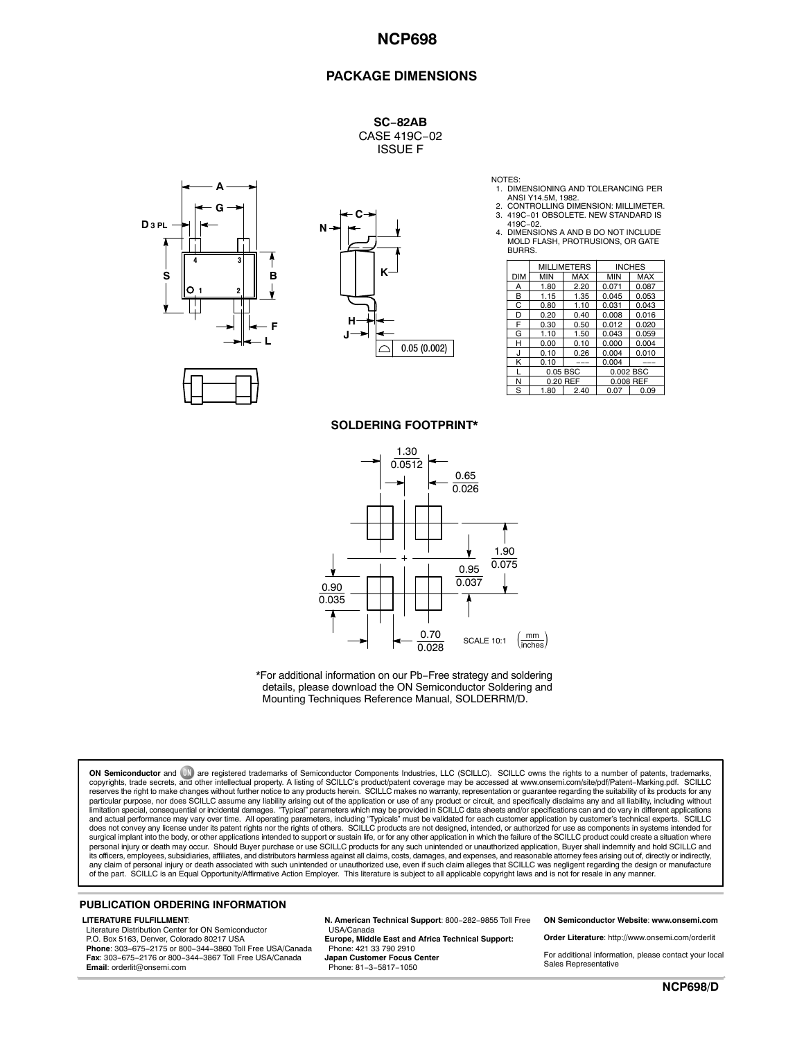#### **PACKAGE DIMENSIONS**

**SC−82AB** CASE 419C−02 ISSUE F





NOTES:

- 1. DIMENSIONING AND TOLERANCING PER ANSI Y14.5M, 1982. 2. CONTROLLING DIMENSION: MILLIMETER.
- 3. 419C−01 OBSOLETE. NEW STANDARD IS 419C−02.
- DIMENSIONS A AND B DO NOT INCLUDE MOLD FLASH, PROTRUSIONS, OR GATE **BURBS**

|            |            | <b>MILLIMETERS</b> | <b>INCHES</b> |            |
|------------|------------|--------------------|---------------|------------|
| <b>DIM</b> | <b>MIN</b> | <b>MAX</b>         | <b>MIN</b>    | <b>MAX</b> |
| А          | 1.80       | 2.20               | 0.071         | 0.087      |
| в          | 1.15       | 1.35               | 0.045         | 0.053      |
| C          | 0.80       | 1.10               | 0.031         | 0.043      |
| D          | 0.20       | 0.40               | 0.008         | 0.016      |
| F          | 0.30       | 0.50               | 0.012         | 0.020      |
| G          | 1.10       | 1.50               | 0.043         | 0.059      |
| н          | 0.00       | 0.10               | 0.000         | 0.004      |
| J          | 0.10       | 0.26               | 0.004         | 0.010      |
| ĸ          | 0.10       | ---                | 0.004         |            |
| L          | 0.05 BSC   |                    | 0.002 BSC     |            |
| N          | 0.20 REF   |                    | 0.008 REF     |            |
| S          | 1.80       | 2.40               | 0.07<br>0.09  |            |

**SOLDERING FOOTPRINT\***



\*For additional information on our Pb−Free strategy and soldering details, please download the ON Semiconductor Soldering and Mounting Techniques Reference Manual, SOLDERRM/D.

**ON Semiconductor** and Will are registered trademarks of Semiconductor Components Industries, LLC (SCILLC). SCILLC owns the rights to a number of patents, trademarks, copyrights, trade secrets, and other intellectual prope and actual performance may vary over time. All operating parameters, including "Typicals" must be validated for each customer application by customer's technical experts. SCILLC<br>does not convey any license under its patent surgical implant into the body, or other applications intended to support or sustain life, or for any other application in which the failure of the SCILLC product could create a situation where<br>personal injury or death may its officers, employees, subsidiaries, affiliates, and distributors harmless against all claims, costs, damages, and expenses, and reasonable attorney fees arising out of, directly or indirectly,<br>any claim of personal inju

#### **PUBLICATION ORDERING INFORMATION**

#### **LITERATURE FULFILLMENT**:

Literature Distribution Center for ON Semiconductor P.O. Box 5163, Denver, Colorado 80217 USA **Phone**: 303−675−2175 or 800−344−3860 Toll Free USA/Canada **Fax**: 303−675−2176 or 800−344−3867 Toll Free USA/Canada **Email**: orderlit@onsemi.com

**N. American Technical Support**: 800−282−9855 Toll Free USA/Canada **Europe, Middle East and Africa Technical Support:**

Phone: 421 33 790 2910 **Japan Customer Focus Center** Phone: 81−3−5817−1050

**ON Semiconductor Website**: **www.onsemi.com**

**Order Literature**: http://www.onsemi.com/orderlit

For additional information, please contact your local Sales Representative